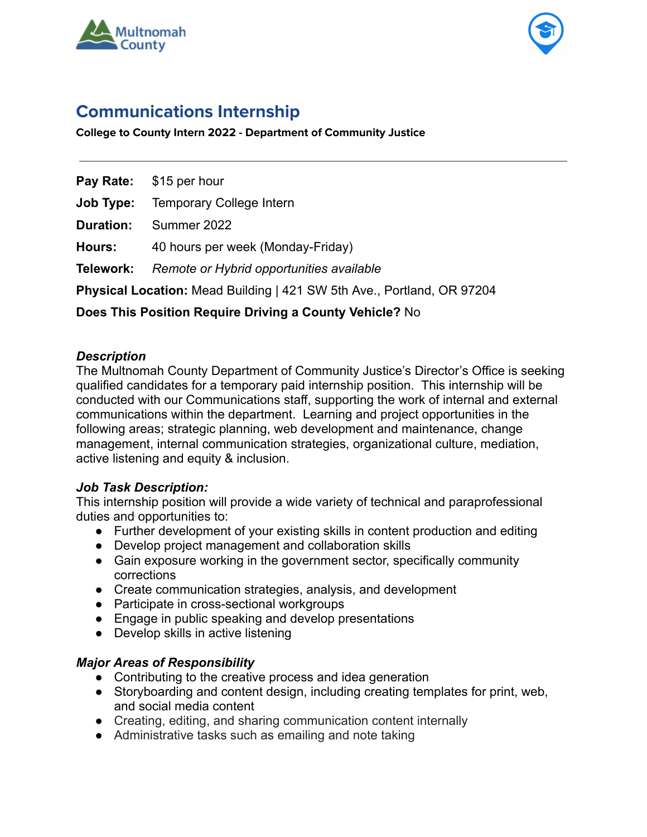



# **Communications Internship**

**College to County Intern 2022 - Department of Community Justice**

**Pay Rate:** \$15 per hour

**Job Type:** Temporary College Intern

**Duration:** Summer 2022

**Hours:** 40 hours per week (Monday-Friday)

**Telework:** *Remote or Hybrid opportunities available*

**Physical Location:** Mead Building | 421 SW 5th Ave., Portland, OR 97204

# **Does This Position Require Driving a County Vehicle?** No

#### *Description*

The Multnomah County Department of Community Justice's Director's Office is seeking qualified candidates for a temporary paid internship position. This internship will be conducted with our Communications staff, supporting the work of internal and external communications within the department. Learning and project opportunities in the following areas; strategic planning, web development and maintenance, change management, internal communication strategies, organizational culture, mediation, active listening and equity & inclusion.

## *Job Task Description:*

This internship position will provide a wide variety of technical and paraprofessional duties and opportunities to:

- Further development of your existing skills in content production and editing
- Develop project management and collaboration skills
- Gain exposure working in the government sector, specifically community corrections
- Create communication strategies, analysis, and development
- Participate in cross-sectional workgroups
- Engage in public speaking and develop presentations
- Develop skills in active listening

## *Major Areas of Responsibility*

- Contributing to the creative process and idea generation
- Storyboarding and content design, including creating templates for print, web, and social media content
- Creating, editing, and sharing communication content internally
- Administrative tasks such as emailing and note taking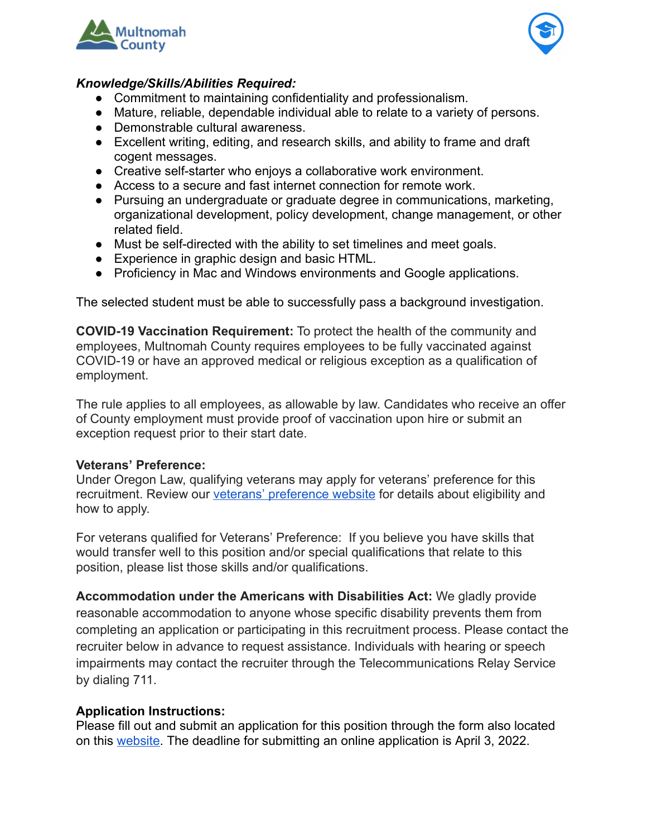



#### *Knowledge/Skills/Abilities Required:*

- Commitment to maintaining confidentiality and professionalism.
- Mature, reliable, dependable individual able to relate to a variety of persons.
- Demonstrable cultural awareness.
- Excellent writing, editing, and research skills, and ability to frame and draft cogent messages.
- Creative self-starter who enjoys a collaborative work environment.
- Access to a secure and fast internet connection for remote work.
- Pursuing an undergraduate or graduate degree in communications, marketing, organizational development, policy development, change management, or other related field.
- Must be self-directed with the ability to set timelines and meet goals.
- Experience in graphic design and basic HTML.
- Proficiency in Mac and Windows environments and Google applications.

The selected student must be able to successfully pass a background investigation.

**COVID-19 Vaccination Requirement:** To protect the health of the community and employees, Multnomah County requires employees to be fully vaccinated against COVID-19 or have an approved medical or religious exception as a qualification of employment.

The rule applies to all employees, as allowable by law. Candidates who receive an offer of County employment must provide proof of vaccination upon hire or submit an exception request prior to their start date.

## **Veterans' Preference:**

Under Oregon Law, qualifying veterans may apply for veterans' preference for this recruitment. Review our [veterans' preference website](http://multco.us/jobs/veterans-preference-information-and-instructions) for details about eligibility and how to apply.

For veterans qualified for Veterans' Preference: If you believe you have skills that would transfer well to this position and/or special qualifications that relate to this position, please list those skills and/or qualifications.

**Accommodation under the Americans with Disabilities Act:** We gladly provide reasonable accommodation to anyone whose specific disability prevents them from completing an application or participating in this recruitment process. Please contact the recruiter below in advance to request assistance. Individuals with hearing or speech impairments may contact the recruiter through the Telecommunications Relay Service by dialing 711.

## **Application Instructions:**

Please fill out and submit an application for this position through the form also located on this [website.](https://multco.us/college-county) The deadline for submitting an online application is April 3, 2022.